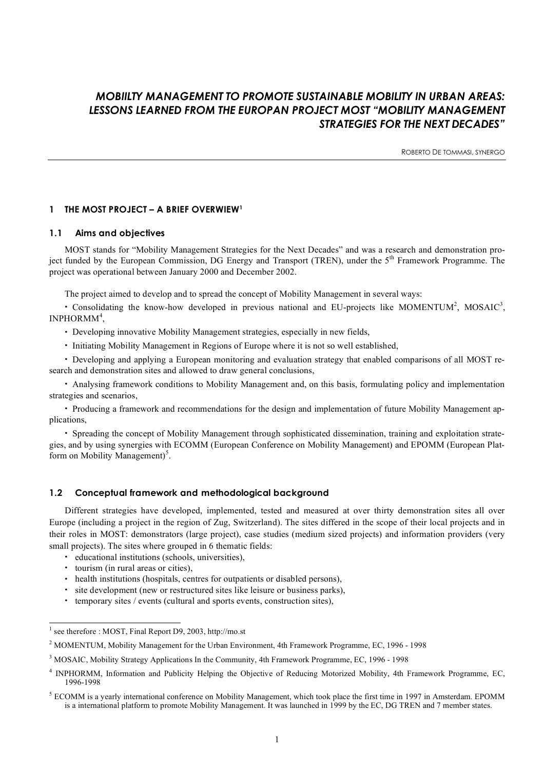# *MOBIILTY MANAGEMENT TO PROMOTE SUSTAINABLE MOBILITY IN URBAN AREAS: LESSONS LEARNED FROM THE EUROPAN PROJECT MOST "MOBILITY MANAGEMENT STRATEGIES FOR THE NEXT DECADES"*

ROBERTO DE TOMMASI, SYNERGO

# **1 THE MOST PROJECT – A BRIEF OVERWIEW1**

# **1.1 Aims and objectives**

MOST stands for "Mobility Management Strategies for the Next Decades" and was a research and demonstration project funded by the European Commission, DG Energy and Transport (TREN), under the 5<sup>th</sup> Framework Programme. The project was operational between January 2000 and December 2002.

The project aimed to develop and to spread the concept of Mobility Management in several ways:

• Consolidating the know-how developed in previous national and EU-projects like MOMENTUM<sup>2</sup>, MOSAIC<sup>3</sup>,  $INPHORMM<sup>4</sup>,$ 

• Developing innovative Mobility Management strategies, especially in new fields,

• Initiating Mobility Management in Regions of Europe where it is not so well established,

• Developing and applying a European monitoring and evaluation strategy that enabled comparisons of all MOST research and demonstration sites and allowed to draw general conclusions,

• Analysing framework conditions to Mobility Management and, on this basis, formulating policy and implementation strategies and scenarios,

• Producing a framework and recommendations for the design and implementation of future Mobility Management applications,

• Spreading the concept of Mobility Management through sophisticated dissemination, training and exploitation strategies, and by using synergies with ECOMM (European Conference on Mobility Management) and EPOMM (European Platform on Mobility Management)<sup>5</sup>.

# **1.2 Conceptual framework and methodological background**

Different strategies have developed, implemented, tested and measured at over thirty demonstration sites all over Europe (including a project in the region of Zug, Switzerland). The sites differed in the scope of their local projects and in their roles in MOST: demonstrators (large project), case studies (medium sized projects) and information providers (very small projects). The sites where grouped in 6 thematic fields:

- educational institutions (schools, universities),
- tourism (in rural areas or cities),
- health institutions (hospitals, centres for outpatients or disabled persons),
- site development (new or restructured sites like leisure or business parks),
- temporary sites / events (cultural and sports events, construction sites),

 <sup>1</sup> see therefore : MOST, Final Report D9, 2003, http://mo.st

<sup>&</sup>lt;sup>2</sup> MOMENTUM, Mobility Management for the Urban Environment, 4th Framework Programme, EC, 1996 - 1998

<sup>3</sup> MOSAIC, Mobility Strategy Applications In the Community, 4th Framework Programme, EC, 1996 - 1998

<sup>&</sup>lt;sup>4</sup> INPHORMM, Information and Publicity Helping the Objective of Reducing Motorized Mobility, 4th Framework Programme, EC, 1996-1998

 $<sup>5</sup>$  ECOMM is a yearly international conference on Mobility Management, which took place the first time in 1997 in Amsterdam. EPOMM</sup> is a international platform to promote Mobility Management. It was launched in 1999 by the EC, DG TREN and 7 member states.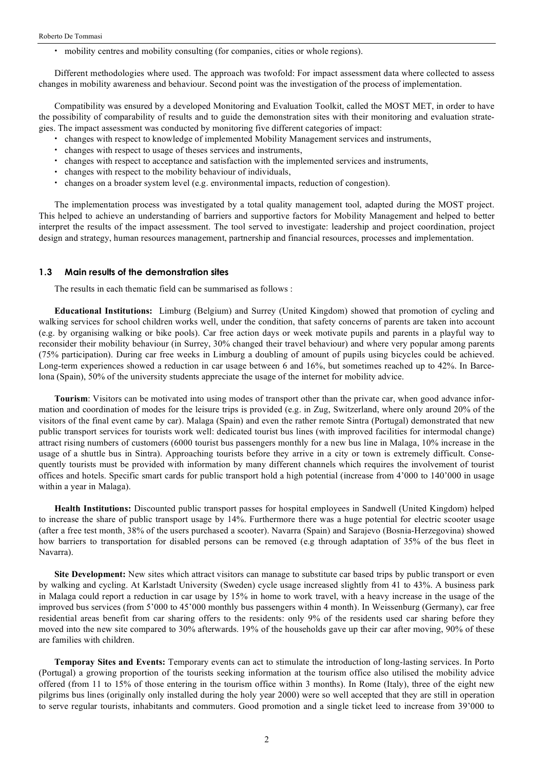• mobility centres and mobility consulting (for companies, cities or whole regions).

Different methodologies where used. The approach was twofold: For impact assessment data where collected to assess changes in mobility awareness and behaviour. Second point was the investigation of the process of implementation.

Compatibility was ensured by a developed Monitoring and Evaluation Toolkit, called the MOST MET, in order to have the possibility of comparability of results and to guide the demonstration sites with their monitoring and evaluation strategies. The impact assessment was conducted by monitoring five different categories of impact:

- changes with respect to knowledge of implemented Mobility Management services and instruments,
- changes with respect to usage of theses services and instruments,
- changes with respect to acceptance and satisfaction with the implemented services and instruments,
- changes with respect to the mobility behaviour of individuals,
- changes on a broader system level (e.g. environmental impacts, reduction of congestion).

The implementation process was investigated by a total quality management tool, adapted during the MOST project. This helped to achieve an understanding of barriers and supportive factors for Mobility Management and helped to better interpret the results of the impact assessment. The tool served to investigate: leadership and project coordination, project design and strategy, human resources management, partnership and financial resources, processes and implementation.

#### **1.3 Main results of the demonstration sites**

The results in each thematic field can be summarised as follows :

**Educational Institutions:** Limburg (Belgium) and Surrey (United Kingdom) showed that promotion of cycling and walking services for school children works well, under the condition, that safety concerns of parents are taken into account (e.g. by organising walking or bike pools). Car free action days or week motivate pupils and parents in a playful way to reconsider their mobility behaviour (in Surrey, 30% changed their travel behaviour) and where very popular among parents (75% participation). During car free weeks in Limburg a doubling of amount of pupils using bicycles could be achieved. Long-term experiences showed a reduction in car usage between 6 and 16%, but sometimes reached up to 42%. In Barcelona (Spain), 50% of the university students appreciate the usage of the internet for mobility advice.

**Tourism**: Visitors can be motivated into using modes of transport other than the private car, when good advance information and coordination of modes for the leisure trips is provided (e.g. in Zug, Switzerland, where only around 20% of the visitors of the final event came by car). Malaga (Spain) and even the rather remote Sintra (Portugal) demonstrated that new public transport services for tourists work well: dedicated tourist bus lines (with improved facilities for intermodal change) attract rising numbers of customers (6000 tourist bus passengers monthly for a new bus line in Malaga, 10% increase in the usage of a shuttle bus in Sintra). Approaching tourists before they arrive in a city or town is extremely difficult. Consequently tourists must be provided with information by many different channels which requires the involvement of tourist offices and hotels. Specific smart cards for public transport hold a high potential (increase from 4'000 to 140'000 in usage within a year in Malaga).

**Health Institutions:** Discounted public transport passes for hospital employees in Sandwell (United Kingdom) helped to increase the share of public transport usage by 14%. Furthermore there was a huge potential for electric scooter usage (after a free test month, 38% of the users purchased a scooter). Navarra (Spain) and Sarajevo (Bosnia-Herzegovina) showed how barriers to transportation for disabled persons can be removed (e.g through adaptation of 35% of the bus fleet in Navarra).

**Site Development:** New sites which attract visitors can manage to substitute car based trips by public transport or even by walking and cycling. At Karlstadt University (Sweden) cycle usage increased slightly from 41 to 43%. A business park in Malaga could report a reduction in car usage by 15% in home to work travel, with a heavy increase in the usage of the improved bus services (from 5'000 to 45'000 monthly bus passengers within 4 month). In Weissenburg (Germany), car free residential areas benefit from car sharing offers to the residents: only 9% of the residents used car sharing before they moved into the new site compared to 30% afterwards. 19% of the households gave up their car after moving, 90% of these are families with children.

**Temporay Sites and Events:** Temporary events can act to stimulate the introduction of long-lasting services. In Porto (Portugal) a growing proportion of the tourists seeking information at the tourism office also utilised the mobility advice offered (from 11 to 15% of those entering in the tourism office within 3 months). In Rome (Italy), three of the eight new pilgrims bus lines (originally only installed during the holy year 2000) were so well accepted that they are still in operation to serve regular tourists, inhabitants and commuters. Good promotion and a single ticket leed to increase from 39'000 to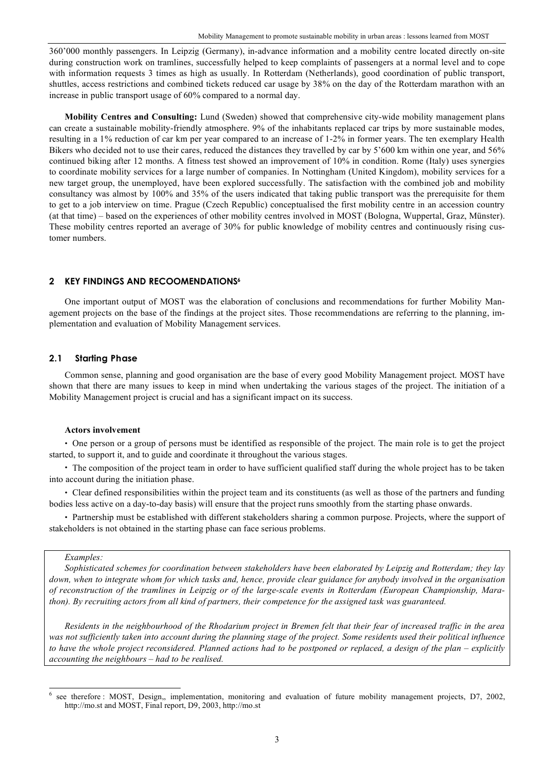360'000 monthly passengers. In Leipzig (Germany), in-advance information and a mobility centre located directly on-site during construction work on tramlines, successfully helped to keep complaints of passengers at a normal level and to cope with information requests 3 times as high as usually. In Rotterdam (Netherlands), good coordination of public transport, shuttles, access restrictions and combined tickets reduced car usage by 38% on the day of the Rotterdam marathon with an increase in public transport usage of 60% compared to a normal day.

**Mobility Centres and Consulting:** Lund (Sweden) showed that comprehensive city-wide mobility management plans can create a sustainable mobility-friendly atmosphere. 9% of the inhabitants replaced car trips by more sustainable modes, resulting in a 1% reduction of car km per year compared to an increase of 1-2% in former years. The ten exemplary Health Bikers who decided not to use their cares, reduced the distances they travelled by car by 5'600 km within one year, and 56% continued biking after 12 months. A fitness test showed an improvement of 10% in condition. Rome (Italy) uses synergies to coordinate mobility services for a large number of companies. In Nottingham (United Kingdom), mobility services for a new target group, the unemployed, have been explored successfully. The satisfaction with the combined job and mobility consultancy was almost by 100% and 35% of the users indicated that taking public transport was the prerequisite for them to get to a job interview on time. Prague (Czech Republic) conceptualised the first mobility centre in an accession country (at that time) – based on the experiences of other mobility centres involved in MOST (Bologna, Wuppertal, Graz, Münster). These mobility centres reported an average of 30% for public knowledge of mobility centres and continuously rising customer numbers.

# **2 KEY FINDINGS AND RECOOMENDATIONS6**

One important output of MOST was the elaboration of conclusions and recommendations for further Mobility Management projects on the base of the findings at the project sites. Those recommendations are referring to the planning, implementation and evaluation of Mobility Management services.

# **2.1 Starting Phase**

Common sense, planning and good organisation are the base of every good Mobility Management project. MOST have shown that there are many issues to keep in mind when undertaking the various stages of the project. The initiation of a Mobility Management project is crucial and has a significant impact on its success.

### **Actors involvement**

• One person or a group of persons must be identified as responsible of the project. The main role is to get the project started, to support it, and to guide and coordinate it throughout the various stages.

• The composition of the project team in order to have sufficient qualified staff during the whole project has to be taken into account during the initiation phase.

• Clear defined responsibilities within the project team and its constituents (as well as those of the partners and funding bodies less active on a day-to-day basis) will ensure that the project runs smoothly from the starting phase onwards.

• Partnership must be established with different stakeholders sharing a common purpose. Projects, where the support of stakeholders is not obtained in the starting phase can face serious problems.

# *Examples:*

*Sophisticated schemes for coordination between stakeholders have been elaborated by Leipzig and Rotterdam; they lay* down, when to integrate whom for which tasks and, hence, provide clear guidance for anybody involved in the organisation of reconstruction of the tramlines in Leipzig or of the large-scale events in Rotterdam (European Championship, Marathon). By recruiting actors from all kind of partners, their competence for the assigned task was guaranteed.

Residents in the neighbourhood of the Rhodarium project in Bremen felt that their fear of increased traffic in the area was not sufficiently taken into account during the planning stage of the project. Some residents used their political influence to have the whole project reconsidered. Planned actions had to be postponed or replaced, a design of the plan – explicitly *accounting the neighbours – had to be realised.*

see therefore : MOST, Design,, implementation, monitoring and evaluation of future mobility management projects, D7, 2002, http://mo.st and MOST, Final report, D9, 2003, http://mo.st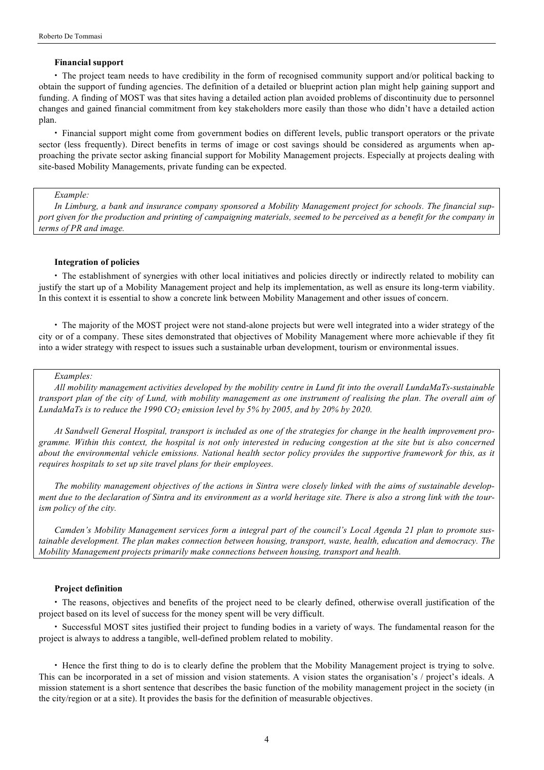## **Financial support**

• The project team needs to have credibility in the form of recognised community support and/or political backing to obtain the support of funding agencies. The definition of a detailed or blueprint action plan might help gaining support and funding. A finding of MOST was that sites having a detailed action plan avoided problems of discontinuity due to personnel changes and gained financial commitment from key stakeholders more easily than those who didn't have a detailed action plan.

• Financial support might come from government bodies on different levels, public transport operators or the private sector (less frequently). Direct benefits in terms of image or cost savings should be considered as arguments when approaching the private sector asking financial support for Mobility Management projects. Especially at projects dealing with site-based Mobility Managements, private funding can be expected.

# *Example:*

In Limburg, a bank and insurance company sponsored a Mobility Management project for schools. The financial support given for the production and printing of campaigning materials, seemed to be perceived as a benefit for the company in *terms of PR and image.*

# **Integration of policies**

• The establishment of synergies with other local initiatives and policies directly or indirectly related to mobility can justify the start up of a Mobility Management project and help its implementation, as well as ensure its long-term viability. In this context it is essential to show a concrete link between Mobility Management and other issues of concern.

• The majority of the MOST project were not stand-alone projects but were well integrated into a wider strategy of the city or of a company. These sites demonstrated that objectives of Mobility Management where more achievable if they fit into a wider strategy with respect to issues such a sustainable urban development, tourism or environmental issues.

#### *Examples:*

All mobility management activities developed by the mobility centre in Lund fit into the overall LundaMaTs-sustainable transport plan of the city of Lund, with mobility management as one instrument of realising the plan. The overall aim of *LundaMaTs is to reduce the 1990*  $CO_2$  *<i>emission level by*  $5\%$  *by*  $2005$ *, and by*  $20\%$  *by*  $2020$ *.* 

At Sandwell General Hospital, transport is included as one of the strategies for change in the health improvement programme. Within this context, the hospital is not only interested in reducing congestion at the site but is also concerned about the environmental vehicle emissions. National health sector policy provides the supportive framework for this, as it *requires hospitals to set up site travel plans for their employees.*

The mobility management objectives of the actions in Sintra were closely linked with the aims of sustainable development due to the declaration of Sintra and its environment as a world heritage site. There is also a strong link with the tour*ism policy of the city.*

Camden's Mobility Management services form a integral part of the council's Local Agenda 21 plan to promote sus*tainable development. The plan makes connection between housing, transport, waste, health, education and democracy. The Mobility Management projects primarily make connections between housing, transport and health.*

### **Project definition**

• The reasons, objectives and benefits of the project need to be clearly defined, otherwise overall justification of the project based on its level of success for the money spent will be very difficult.

• Successful MOST sites justified their project to funding bodies in a variety of ways. The fundamental reason for the project is always to address a tangible, well-defined problem related to mobility.

• Hence the first thing to do is to clearly define the problem that the Mobility Management project is trying to solve. This can be incorporated in a set of mission and vision statements. A vision states the organisation's / project's ideals. A mission statement is a short sentence that describes the basic function of the mobility management project in the society (in the city/region or at a site). It provides the basis for the definition of measurable objectives.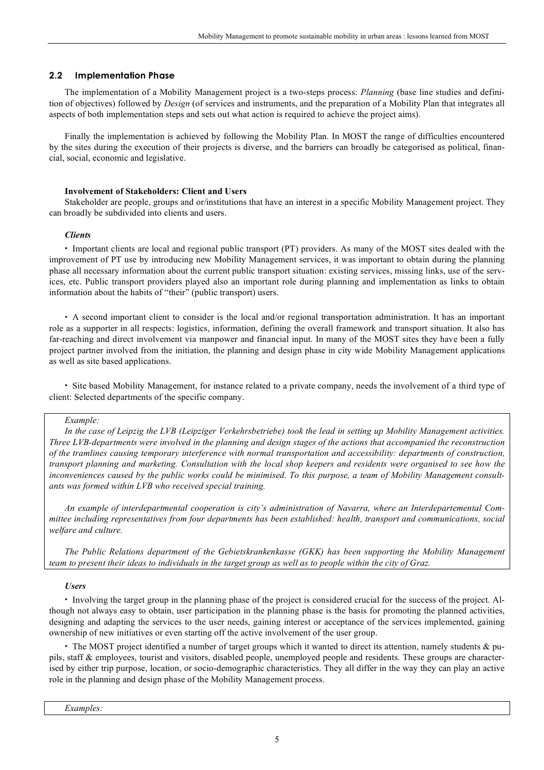# **2.2 Implementation Phase**

The implementation of a Mobility Management project is a two-steps process: *Planning* (base line studies and definition of objectives) followed by *Design* (of services and instruments, and the preparation of a Mobility Plan that integrates all aspects of both implementation steps and sets out what action is required to achieve the project aims).

Finally the implementation is achieved by following the Mobility Plan. In MOST the range of difficulties encountered by the sites during the execution of their projects is diverse, and the barriers can broadly be categorised as political, financial, social, economic and legislative.

#### **Involvement of Stakeholders: Client and Users**

Stakeholder are people, groups and or/institutions that have an interest in a specific Mobility Management project. They can broadly be subdivided into clients and users.

#### *Clients*

• Important clients are local and regional public transport (PT) providers. As many of the MOST sites dealed with the improvement of PT use by introducing new Mobility Management services, it was important to obtain during the planning phase all necessary information about the current public transport situation: existing services, missing links, use of the services, etc. Public transport providers played also an important role during planning and implementation as links to obtain information about the habits of "their" (public transport) users.

• A second important client to consider is the local and/or regional transportation administration. It has an important role as a supporter in all respects: logistics, information, defining the overall framework and transport situation. It also has far-reaching and direct involvement via manpower and financial input. In many of the MOST sites they have been a fully project partner involved from the initiation, the planning and design phase in city wide Mobility Management applications as well as site based applications.

• Site based Mobility Management, for instance related to a private company, needs the involvement of a third type of client: Selected departments of the specific company.

#### *Example:*

In the case of Leipzig the LVB (Leipziger Verkehrsbetriebe) took the lead in setting up Mobility Management activities. Three LVB-departments were involved in the planning and design stages of the actions that accompanied the reconstruction *of the tramlines causing temporary interference with normal transportation and accessibility: departments of construction,* transport planning and marketing. Consultation with the local shop keepers and residents were organised to see how the inconveniences caused by the public works could be minimised. To this purpose, a team of Mobility Management consult*ants was formed within LVB who received special training.*

*An example of interdepartmental cooperation is city's administration of Navarra, where an Interdepartemental Committee including representatives from four departments has been established: health, transport and communications, social welfare and culture.*

*The Public Relations department of the Gebietskrankenkasse (GKK) has been supporting the Mobility Management* team to present their ideas to individuals in the target group as well as to people within the city of Graz.

#### *Users*

• Involving the target group in the planning phase of the project is considered crucial for the success of the project. Although not always easy to obtain, user participation in the planning phase is the basis for promoting the planned activities, designing and adapting the services to the user needs, gaining interest or acceptance of the services implemented, gaining ownership of new initiatives or even starting off the active involvement of the user group.

• The MOST project identified a number of target groups which it wanted to direct its attention, namely students & pupils, staff & employees, tourist and visitors, disabled people, unemployed people and residents. These groups are characterised by either trip purpose, location, or socio-demographic characteristics. They all differ in the way they can play an active role in the planning and design phase of the Mobility Management process.

*Examples:*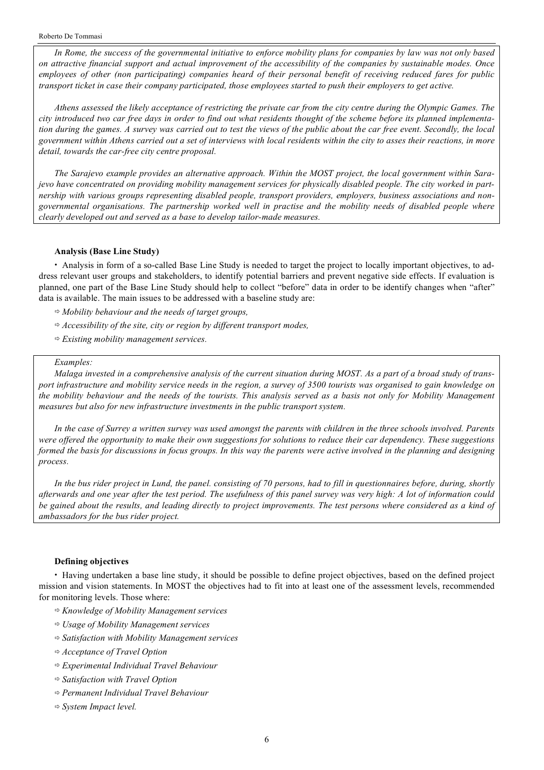In Rome, the success of the governmental initiative to enforce mobility plans for companies by law was not only based on attractive financial support and actual improvement of the accessibility of the companies by sustainable modes. Once employees of other (non participating) companies heard of their personal benefit of receiving reduced fares for public transport ticket in case their company participated, those employees started to push their employers to get active.

Athens assessed the likely acceptance of restricting the private car from the city centre during the Olympic Games. The city introduced two car free days in order to find out what residents thought of the scheme before its planned implementation during the games. A survey was carried out to test the views of the public about the car free event. Secondly, the local government within Athens carried out a set of interviews with local residents within the city to asses their reactions, in more *detail, towards the car-free city centre proposal.*

The Sarajevo example provides an alternative approach. Within the MOST project, the local government within Sarajevo have concentrated on providing mobility management services for physically disabled people. The city worked in part*nership with various groups representing disabled people, transport providers, employers, business associations and non*governmental organisations. The partnership worked well in practise and the mobility needs of disabled people where *clearly developed out and served as a base to develop tailor-made measures.*

# **Analysis (Base Line Study)**

• Analysis in form of a so-called Base Line Study is needed to target the project to locally important objectives, to address relevant user groups and stakeholders, to identify potential barriers and prevent negative side effects. If evaluation is planned, one part of the Base Line Study should help to collect "before" data in order to be identify changes when "after" data is available. The main issues to be addressed with a baseline study are:

- *Mobility behaviour and the needs of target groups,*
- *Accessibility of the site, city or region by different transport modes,*
- *Existing mobility management services.*

#### *Examples:*

Malaga invested in a comprehensive analysis of the current situation during MOST. As a part of a broad study of transport infrastructure and mobility service needs in the region, a survey of 3500 tourists was organised to gain knowledge on the mobility behaviour and the needs of the tourists. This analysis served as a basis not only for Mobility Management *measures but also for new infrastructure investments in the public transport system.*

In the case of Surrey a written survey was used amongst the parents with children in the three schools involved. Parents were offered the opportunity to make their own suggestions for solutions to reduce their car dependency. These suggestions formed the basis for discussions in focus groups. In this way the parents were active involved in the planning and designing *process.*

In the bus rider project in Lund, the panel. consisting of 70 persons, had to fill in questionnaires before, during, shortly afterwards and one year after the test period. The usefulness of this panel survey was very high: A lot of information could be gained about the results, and leading directly to project improvements. The test persons where considered as a kind of *ambassadors for the bus rider project.*

#### **Defining objectives**

• Having undertaken a base line study, it should be possible to define project objectives, based on the defined project mission and vision statements. In MOST the objectives had to fit into at least one of the assessment levels, recommended for monitoring levels. Those where:

- *Knowledge of Mobility Management services*
- *Usage of Mobility Management services*
- *Satisfaction with Mobility Management services*
- *Acceptance of Travel Option*
- *Experimental Individual Travel Behaviour*
- *Satisfaction with Travel Option*
- *Permanent Individual Travel Behaviour*
- *System Impact level.*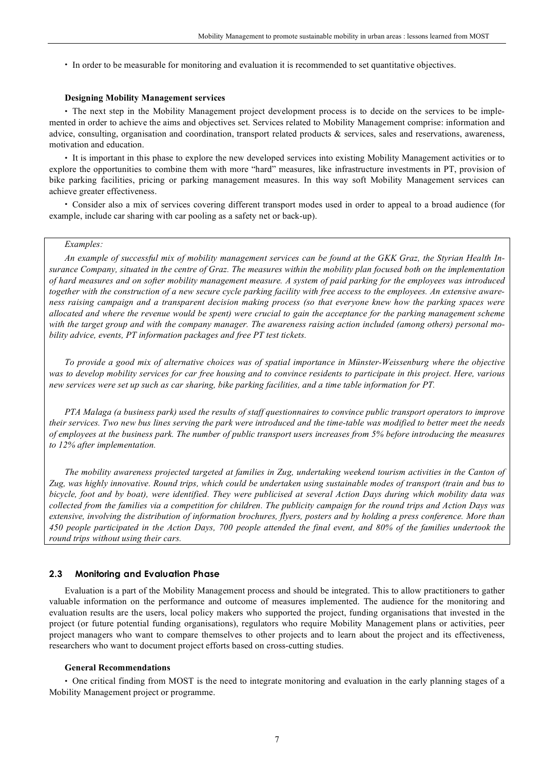• In order to be measurable for monitoring and evaluation it is recommended to set quantitative objectives.

#### **Designing Mobility Management services**

• The next step in the Mobility Management project development process is to decide on the services to be implemented in order to achieve the aims and objectives set. Services related to Mobility Management comprise: information and advice, consulting, organisation and coordination, transport related products & services, sales and reservations, awareness, motivation and education.

• It is important in this phase to explore the new developed services into existing Mobility Management activities or to explore the opportunities to combine them with more "hard" measures, like infrastructure investments in PT, provision of bike parking facilities, pricing or parking management measures. In this way soft Mobility Management services can achieve greater effectiveness.

• Consider also a mix of services covering different transport modes used in order to appeal to a broad audience (for example, include car sharing with car pooling as a safety net or back-up).

# *Examples:*

An example of successful mix of mobility management services can be found at the GKK Graz, the Styrian Health Insurance Company, situated in the centre of Graz. The measures within the mobility plan focused both on the implementation of hard measures and on softer mobility management measure. A system of paid parking for the employees was introduced together with the construction of a new secure cycle parking facility with free access to the employees. An extensive awareness raising campaign and a transparent decision making process (so that everyone knew how the parking spaces were allocated and where the revenue would be spent) were crucial to gain the acceptance for the parking management scheme with the target group and with the company manager. The awareness raising action included (among others) personal mo*bility advice, events, PT information packages and free PT test tickets.*

To provide a good mix of alternative choices was of spatial importance in Münster-Weissenburg where the objective was to develop mobility services for car free housing and to convince residents to participate in this project. Here, various new services were set up such as car sharing, bike parking facilities, and a time table information for PT.

PTA Malaga (a business park) used the results of staff questionnaires to convince public transport operators to improve their services. Two new bus lines serving the park were introduced and the time-table was modified to better meet the needs of employees at the business park. The number of public transport users increases from 5% before introducing the measures *to 12% after implementation.*

The mobility awareness projected targeted at families in Zug, undertaking weekend tourism activities in the Canton of Zug, was highly innovative. Round trips, which could be undertaken using sustainable modes of transport (train and bus to bicycle, foot and by boat), were identified. They were publicised at several Action Days during which mobility data was collected from the families via a competition for children. The publicity campaign for the round trips and Action Days was extensive, involving the distribution of information brochures, flyers, posters and by holding a press conference. More than 450 people participated in the Action Days, 700 people attended the final event, and 80% of the families undertook the *round trips without using their cars.*

#### **2.3 Monitoring and Evaluation Phase**

Evaluation is a part of the Mobility Management process and should be integrated. This to allow practitioners to gather valuable information on the performance and outcome of measures implemented. The audience for the monitoring and evaluation results are the users, local policy makers who supported the project, funding organisations that invested in the project (or future potential funding organisations), regulators who require Mobility Management plans or activities, peer project managers who want to compare themselves to other projects and to learn about the project and its effectiveness, researchers who want to document project efforts based on cross-cutting studies.

#### **General Recommendations**

• One critical finding from MOST is the need to integrate monitoring and evaluation in the early planning stages of a Mobility Management project or programme.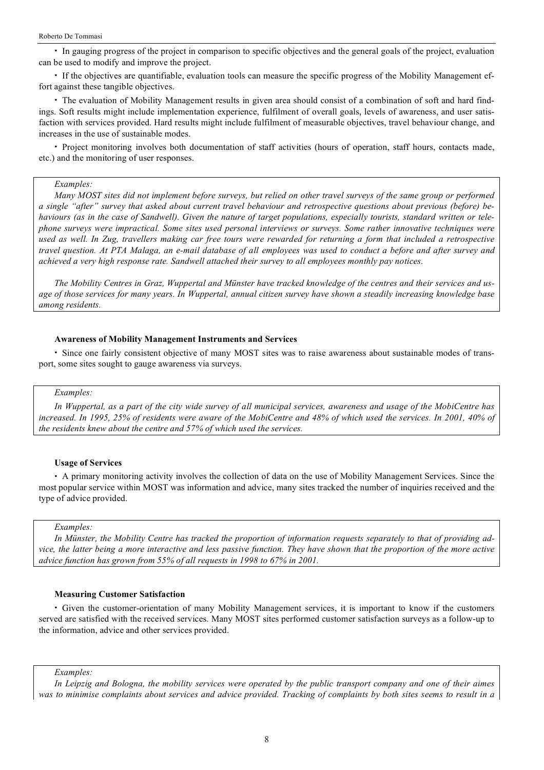• In gauging progress of the project in comparison to specific objectives and the general goals of the project, evaluation can be used to modify and improve the project.

• If the objectives are quantifiable, evaluation tools can measure the specific progress of the Mobility Management effort against these tangible objectives.

• The evaluation of Mobility Management results in given area should consist of a combination of soft and hard findings. Soft results might include implementation experience, fulfilment of overall goals, levels of awareness, and user satisfaction with services provided. Hard results might include fulfilment of measurable objectives, travel behaviour change, and increases in the use of sustainable modes.

• Project monitoring involves both documentation of staff activities (hours of operation, staff hours, contacts made, etc.) and the monitoring of user responses.

#### *Examples:*

Many MOST sites did not implement before surveys, but relied on other travel surveys of the same group or performed a single "after" survey that asked about current travel behaviour and retrospective questions about previous (before) behaviours (as in the case of Sandwell). Given the nature of target populations, especially tourists, standard written or telephone surveys were impractical. Some sites used personal interviews or surveys. Some rather innovative techniques were used as well. In Zug, travellers making car free tours were rewarded for returning a form that included a retrospective travel question. At PTA Malaga, an e-mail database of all employees was used to conduct a before and after survey and *achieved a very high response rate. Sandwell attached their survey to all employees monthly pay notices.*

The Mobility Centres in Graz, Wuppertal and Münster have tracked knowledge of the centres and their services and usage of those services for many years. In Wuppertal, annual citizen survey have shown a steadily increasing knowledge base *among residents.*

#### **Awareness of Mobility Management Instruments and Services**

• Since one fairly consistent objective of many MOST sites was to raise awareness about sustainable modes of transport, some sites sought to gauge awareness via surveys.

#### *Examples:*

In Wuppertal, as a part of the city wide survey of all municipal services, awareness and usage of the MobiCentre has increased. In 1995, 25% of residents were aware of the MobiCentre and 48% of which used the services. In 2001, 40% of *the residents knew about the centre and 57% of which used the services.*

#### **Usage of Services**

• A primary monitoring activity involves the collection of data on the use of Mobility Management Services. Since the most popular service within MOST was information and advice, many sites tracked the number of inquiries received and the type of advice provided.

## *Examples:*

In Münster, the Mobility Centre has tracked the proportion of information requests separately to that of providing advice, the latter being a more interactive and less passive function. They have shown that the proportion of the more active *advice function has grown from 55% of all requests in 1998 to 67% in 2001.*

#### **Measuring Customer Satisfaction**

• Given the customer-orientation of many Mobility Management services, it is important to know if the customers served are satisfied with the received services. Many MOST sites performed customer satisfaction surveys as a follow-up to the information, advice and other services provided.

*Examples:*

In Leipzig and Bologna, the mobility services were operated by the public transport company and one of their aimes was to minimise complaints about services and advice provided. Tracking of complaints by both sites seems to result in a